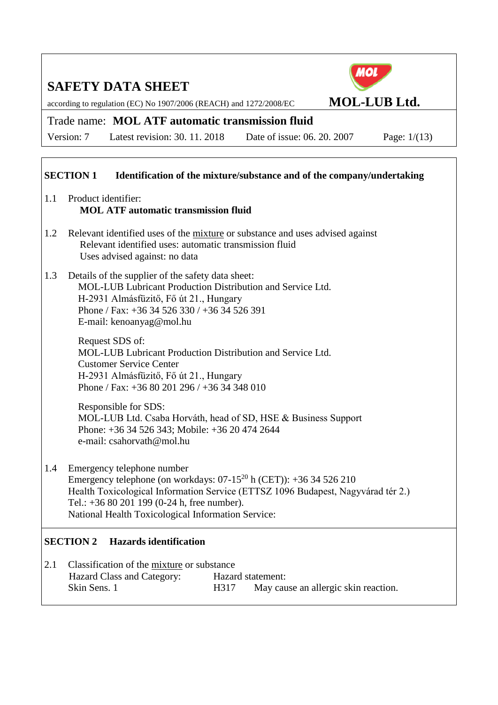according to regulation (EC) No 1907/2006 (REACH) and 1272/2008/EC **MOL-LUB Ltd.**

### Trade name: **MOL ATF automatic transmission fluid**

Version: 7 Latest revision: 30. 11. 2018 Date of issue: 06. 20. 2007 Page: 1/(13)

### **SECTION 1** Identification of the mixture/substance and of the company/undertaking

- 1.1 Product identifier: **MOL ATF automatic transmission fluid**
- 1.2 Relevant identified uses of the mixture or substance and uses advised against Relevant identified uses: automatic transmission fluid Uses advised against: no data
- 1.3 Details of the supplier of the safety data sheet: MOL-LUB Lubricant Production Distribution and Service Ltd. H-2931 Almásfüzitő, Fő út 21., Hungary Phone / Fax: +36 34 526 330 / +36 34 526 391 E-mail: kenoanyag@mol.hu

Request SDS of: MOL-LUB Lubricant Production Distribution and Service Ltd. Customer Service Center H-2931 Almásfüzitő, Fő út 21., Hungary Phone / Fax: +36 80 201 296 / +36 34 348 010

Responsible for SDS: MOL-LUB Ltd. Csaba Horváth, head of SD, HSE & Business Support Phone: +36 34 526 343; Mobile: +36 20 474 2644 e-mail: csahorvath@mol.hu

1.4 Emergency telephone number Emergency telephone (on workdays:  $07-15^{20}$  h (CET)):  $+36$  34 526 210 Health Toxicological Information Service (ETTSZ 1096 Budapest, Nagyvárad tér 2.) Tel.: +36 80 201 199 (0-24 h, free number). National Health Toxicological Information Service:

#### **SECTION 2 Hazards identification**

| 2.1 | Classification of the mixture or substance |                   |                                      |  |
|-----|--------------------------------------------|-------------------|--------------------------------------|--|
|     | Hazard Class and Category:                 | Hazard statement: |                                      |  |
|     | Skin Sens. 1                               | H317              | May cause an allergic skin reaction. |  |

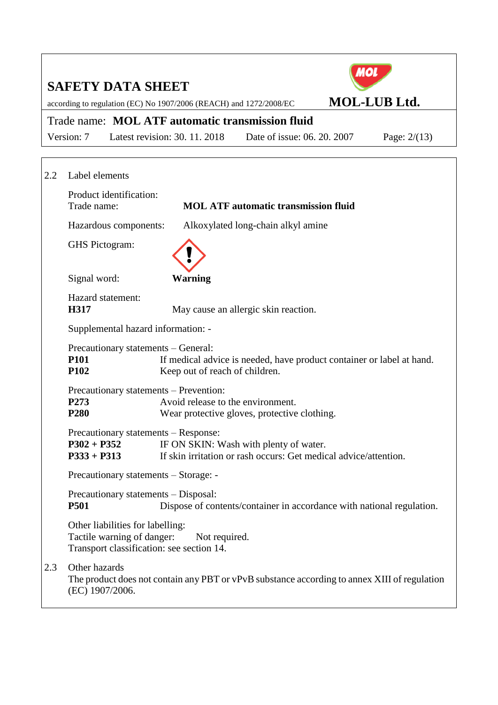|     | <b>SAFETY DATA SHEET</b>                                                                                                         |                                   |                                                                                                            |                     |                |
|-----|----------------------------------------------------------------------------------------------------------------------------------|-----------------------------------|------------------------------------------------------------------------------------------------------------|---------------------|----------------|
|     | according to regulation (EC) No 1907/2006 (REACH) and 1272/2008/EC                                                               |                                   |                                                                                                            | <b>MOL-LUB Ltd.</b> |                |
|     | Trade name: MOL ATF automatic transmission fluid                                                                                 |                                   |                                                                                                            |                     |                |
|     | Version: 7                                                                                                                       | Latest revision: 30, 11, 2018     | Date of issue: 06, 20, 2007                                                                                |                     | Page: $2/(13)$ |
|     |                                                                                                                                  |                                   |                                                                                                            |                     |                |
| 2.2 | Label elements                                                                                                                   |                                   |                                                                                                            |                     |                |
|     | Product identification:<br>Trade name:                                                                                           |                                   | <b>MOL ATF automatic transmission fluid</b>                                                                |                     |                |
|     | Hazardous components:                                                                                                            |                                   | Alkoxylated long-chain alkyl amine                                                                         |                     |                |
|     | GHS Pictogram:                                                                                                                   |                                   |                                                                                                            |                     |                |
|     | Signal word:                                                                                                                     | <b>Warning</b>                    |                                                                                                            |                     |                |
|     | Hazard statement:<br>H317                                                                                                        |                                   | May cause an allergic skin reaction.                                                                       |                     |                |
|     | Supplemental hazard information: -                                                                                               |                                   |                                                                                                            |                     |                |
|     | Precautionary statements – General:<br><b>P101</b><br>P <sub>102</sub>                                                           | Keep out of reach of children.    | If medical advice is needed, have product container or label at hand.                                      |                     |                |
|     | Precautionary statements – Prevention:<br>P <sub>273</sub><br>P <sub>280</sub>                                                   | Avoid release to the environment. | Wear protective gloves, protective clothing.                                                               |                     |                |
|     | Precautionary statements – Response:<br>$P302 + P352$<br>$P333 + P313$                                                           |                                   | IF ON SKIN: Wash with plenty of water.<br>If skin irritation or rash occurs: Get medical advice/attention. |                     |                |
|     | Precautionary statements - Storage: -                                                                                            |                                   |                                                                                                            |                     |                |
|     | Precautionary statements - Disposal:<br><b>P501</b>                                                                              |                                   | Dispose of contents/container in accordance with national regulation.                                      |                     |                |
|     | Other liabilities for labelling:<br>Tactile warning of danger:<br>Transport classification: see section 14.                      | Not required.                     |                                                                                                            |                     |                |
| 2.3 | Other hazards<br>The product does not contain any PBT or vPvB substance according to annex XIII of regulation<br>(EC) 1907/2006. |                                   |                                                                                                            |                     |                |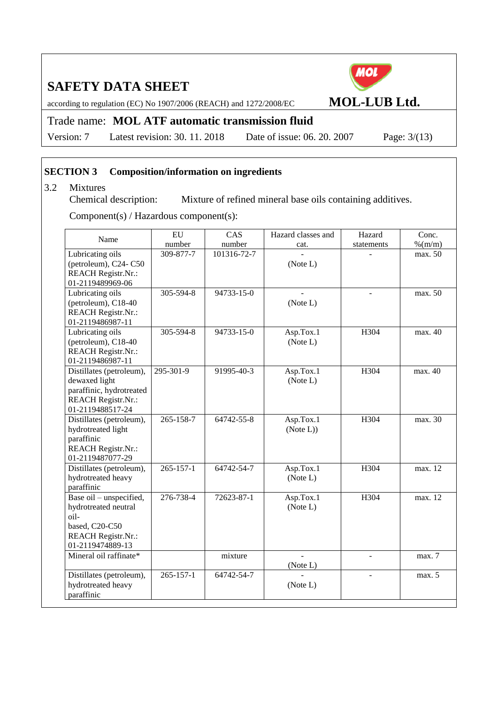according to regulation (EC) No 1907/2006 (REACH) and 1272/2008/EC **MOL-LUB Ltd.**

### Trade name: **MOL ATF automatic transmission fluid**

Version: 7 Latest revision: 30. 11. 2018 Date of issue: 06. 20. 2007 Page: 3/(13)

#### **SECTION 3 Composition/information on ingredients**

3.2 Mixtures<br>Chemical description: Mixture of refined mineral base oils containing additives.

Component(s) / Hazardous component(s):

| Name                                                                                                                         | EU              | CAS         | Hazard classes and     | Hazard         | Conc.     |
|------------------------------------------------------------------------------------------------------------------------------|-----------------|-------------|------------------------|----------------|-----------|
|                                                                                                                              | number          | number      | cat.                   | statements     | $%$ (m/m) |
| Lubricating oils<br>(petroleum), C24-C50<br><b>REACH Registr.Nr.:</b><br>01-2119489969-06                                    | 309-877-7       | 101316-72-7 | (Note L)               |                | max. 50   |
| Lubricating oils<br>(petroleum), C18-40<br><b>REACH Registr.Nr.:</b><br>01-2119486987-11                                     | 305-594-8       | 94733-15-0  | (Note L)               |                | max. 50   |
| Lubricating oils<br>(petroleum), C18-40<br><b>REACH Registr.Nr.:</b><br>01-2119486987-11                                     | 305-594-8       | 94733-15-0  | Asp.Tox.1<br>(Note L)  | H304           | max. 40   |
| Distillates (petroleum),<br>dewaxed light<br>paraffinic, hydrotreated<br>REACH Registr.Nr.:<br>01-2119488517-24              | 295-301-9       | 91995-40-3  | Asp.Tox.1<br>(Note L)  | H304           | max. 40   |
| Distillates (petroleum),<br>hydrotreated light<br>paraffinic<br>REACH Registr.Nr.:<br>01-2119487077-29                       | 265-158-7       | 64742-55-8  | Asp.Tox.1<br>(Note L)) | H304           | max. 30   |
| Distillates (petroleum),<br>hydrotreated heavy<br>paraffinic                                                                 | $265 - 157 - 1$ | 64742-54-7  | Asp.Tox.1<br>(Note L)  | H304           | max. 12   |
| Base oil - unspecified,<br>hydrotreated neutral<br>$oil-$<br>based, C20-C50<br><b>REACH Registr.Nr.:</b><br>01-2119474889-13 | 276-738-4       | 72623-87-1  | Asp.Tox.1<br>(Note L)  | H304           | max. 12   |
| Mineral oil raffinate*                                                                                                       |                 | mixture     | (Note L)               | $\blacksquare$ | max. 7    |
| Distillates (petroleum),<br>hydrotreated heavy<br>paraffinic                                                                 | $265 - 157 - 1$ | 64742-54-7  | (Note L)               |                | max. 5    |

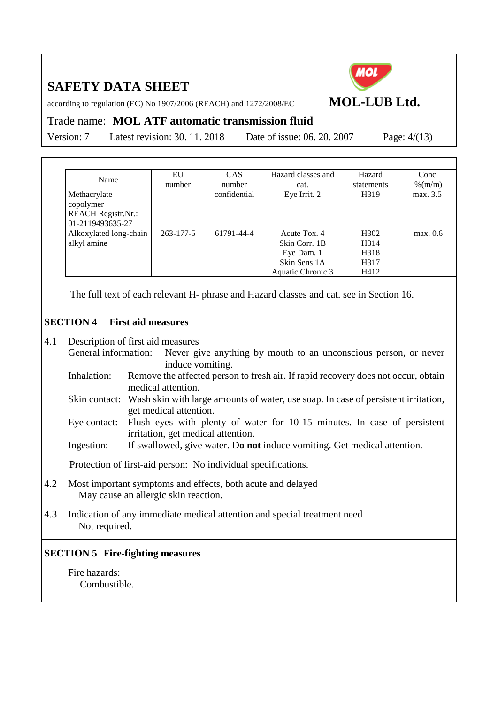MOL

according to regulation (EC) No 1907/2006 (REACH) and 1272/2008/EC **MOL-LUB Ltd.**

#### Trade name: **MOL ATF automatic transmission fluid**

Version: 7 Latest revision: 30. 11. 20

| 018 | Date of issue: 06, 20, 2007 |  |  |  |
|-----|-----------------------------|--|--|--|
|     |                             |  |  |  |

| Name                      | EU              | <b>CAS</b>   | Hazard classes and | Hazard           | Conc.    |
|---------------------------|-----------------|--------------|--------------------|------------------|----------|
|                           | number          | number       | cat.               | statements       | % (m/m)  |
| Methacrylate              |                 | confidential | Eye Irrit. 2       | H319             | max. 3.5 |
| copolymer                 |                 |              |                    |                  |          |
| <b>REACH Registr.Nr.:</b> |                 |              |                    |                  |          |
| 01-2119493635-27          |                 |              |                    |                  |          |
| Alkoxylated long-chain    | $263 - 177 - 5$ | 61791-44-4   | Acute Tox. 4       | H <sub>302</sub> | max. 0.6 |
| alkyl amine               |                 |              | Skin Corr. 1B      | H314             |          |
|                           |                 |              | Eye Dam. 1         | H318             |          |
|                           |                 |              | Skin Sens 1A       | H317             |          |
|                           |                 |              | Aquatic Chronic 3  | H412             |          |

The full text of each relevant H- phrase and Hazard classes and cat. see in Section 16.

#### **SECTION 4 First aid measures**

- 4.1 Description of first aid measures
	- General information: Never give anything by mouth to an unconscious person, or never induce vomiting.
		- Inhalation: Remove the affected person to fresh air. If rapid recovery does not occur, obtain medical attention.
		- Skin contact: Wash skin with large amounts of water, use soap. In case of persistent irritation, get medical attention.
		- Eye contact: Flush eyes with plenty of water for 10-15 minutes. In case of persistent irritation, get medical attention.
		- Ingestion: If swallowed, give water. D**o not** induce vomiting. Get medical attention.

Protection of first-aid person: No individual specifications.

- 4.2 Most important symptoms and effects, both acute and delayed May cause an allergic skin reaction.
- 4.3 Indication of any immediate medical attention and special treatment need Not required.

#### **SECTION 5 Fire-fighting measures**

Fire hazards: Combustible.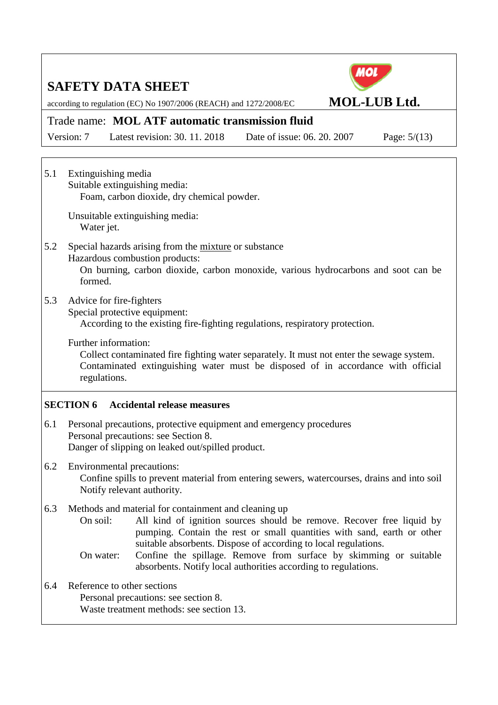MOL

according to regulation (EC) No 1907/2006 (REACH) and 1272/2008/EC **MOL-LUB Ltd.**

### Trade name: **MOL ATF automatic transmission fluid**

Version: 7 Latest revision: 30. 11. 2018 Date of issue: 06. 20. 2007 Page: 5/(13)

5.1 Extinguishing media Suitable extinguishing media: Foam, carbon dioxide, dry chemical powder.

> Unsuitable extinguishing media: Water jet.

#### 5.2 Special hazards arising from the mixture or substance Hazardous combustion products:

On burning, carbon dioxide, carbon monoxide, various hydrocarbons and soot can be formed.

5.3 Advice for fire-fighters

Special protective equipment:

According to the existing fire-fighting regulations, respiratory protection.

Further information:

Collect contaminated fire fighting water separately. It must not enter the sewage system. Contaminated extinguishing water must be disposed of in accordance with official regulations.

#### **SECTION 6 Accidental release measures**

6.1 Personal precautions, protective equipment and emergency procedures Personal precautions: see Section 8. Danger of slipping on leaked out/spilled product.

#### 6.2 Environmental precautions: Confine spills to prevent material from entering sewers, watercourses, drains and into soil Notify relevant authority.

- 6.3 Methods and material for containment and cleaning up
	- On soil: All kind of ignition sources should be remove. Recover free liquid by pumping. Contain the rest or small quantities with sand, earth or other suitable absorbents. Dispose of according to local regulations.
	- On water: Confine the spillage. Remove from surface by skimming or suitable absorbents. Notify local authorities according to regulations.
- 6.4 Reference to other sections Personal precautions: see section 8. Waste treatment methods: see section 13.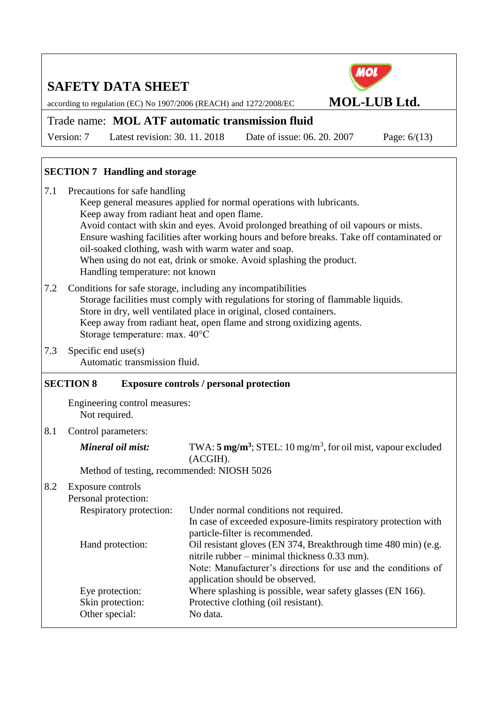according to regulation (EC) No 1907/2006 (REACH) and 1272/2008/EC **MOL-LUB Ltd.**



### Trade name: **MOL ATF automatic transmission fluid**

Version: 7 Latest revision: 30. 11. 2018 Date of issue: 06. 20. 2007 Page: 6/(13)

### **SECTION 7 Handling and storage**

- 7.1 Precautions for safe handling Keep general measures applied for normal operations with lubricants. Keep away from radiant heat and open flame. Avoid contact with skin and eyes. Avoid prolonged breathing of oil vapours or mists. Ensure washing facilities after working hours and before breaks. Take off contaminated or oil-soaked clothing, wash with warm water and soap. When using do not eat, drink or smoke. Avoid splashing the product. Handling temperature: not known
- 7.2 Conditions for safe storage, including any incompatibilities Storage facilities must comply with regulations for storing of flammable liquids. Store in dry, well ventilated place in original, closed containers. Keep away from radiant heat, open flame and strong oxidizing agents. Storage temperature: max. 40°C
- 7.3 Specific end use(s) Automatic transmission fluid.

#### **SECTION 8 Exposure controls / personal protection**

Engineering control measures: Not required.

8.1 Control parameters:

*Mineral oil mist:* TWA: 5 mg/m<sup>3</sup>; STEL: 10 mg/m<sup>3</sup>, for oil mist, vapour excluded (ACGIH).

Method of testing, recommended: NIOSH 5026

8.2 Exposure controls

| Personal protection:    |                                                                                                                |
|-------------------------|----------------------------------------------------------------------------------------------------------------|
| Respiratory protection: | Under normal conditions not required.                                                                          |
|                         | In case of exceeded exposure-limits respiratory protection with<br>particle-filter is recommended.             |
| Hand protection:        | Oil resistant gloves (EN 374, Breakthrough time 480 min) (e.g.<br>nitrile rubber – minimal thickness 0.33 mm). |
|                         | Note: Manufacturer's directions for use and the conditions of<br>application should be observed.               |
| Eye protection:         | Where splashing is possible, wear safety glasses (EN 166).                                                     |
| Skin protection:        | Protective clothing (oil resistant).                                                                           |
| Other special:          | No data.                                                                                                       |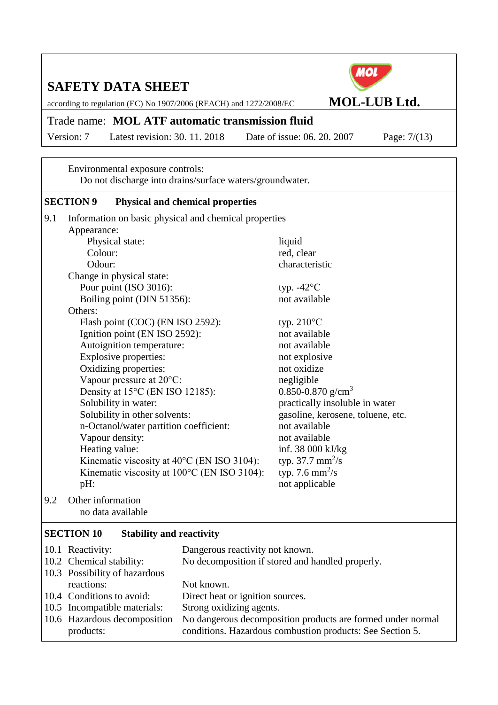according to regulation (EC) No 1907/2006 (REACH) and 1272/2008/EC **MOL-LUB Ltd.**

### Trade name: **MOL ATF automatic transmission fluid**

Version: 7 Latest revision: 30. 11. 2018 Date of issue: 06. 20. 2007 Page: 7/(13)

Environmental exposure controls: Do not discharge into drains/surface waters/groundwater.

#### **SECTION 9 Physical and chemical properties**

| 9.1 | Information on basic physical and chemical properties |                                   |  |  |
|-----|-------------------------------------------------------|-----------------------------------|--|--|
|     | Appearance:                                           |                                   |  |  |
|     | Physical state:                                       | liquid                            |  |  |
|     | Colour:                                               | red, clear                        |  |  |
|     | Odour:                                                | characteristic                    |  |  |
|     | Change in physical state:                             |                                   |  |  |
|     | Pour point (ISO 3016):                                | typ. $-42^{\circ}$ C              |  |  |
|     | Boiling point (DIN 51356):                            | not available                     |  |  |
|     | Others:                                               |                                   |  |  |
|     | Flash point (COC) (EN ISO 2592):                      | typ. $210^{\circ}$ C              |  |  |
|     | Ignition point (EN ISO 2592):                         | not available                     |  |  |
|     | Autoignition temperature:                             | not available                     |  |  |
|     | Explosive properties:                                 | not explosive                     |  |  |
|     | Oxidizing properties:                                 | not oxidize                       |  |  |
|     | Vapour pressure at 20°C:                              | negligible                        |  |  |
|     | Density at 15°C (EN ISO 12185):                       | 0.850-0.870 g/cm <sup>3</sup>     |  |  |
|     | Solubility in water:                                  | practically insoluble in water    |  |  |
|     | Solubility in other solvents:                         | gasoline, kerosene, toluene, etc. |  |  |
|     | n-Octanol/water partition coefficient:                | not available                     |  |  |
|     | Vapour density:                                       | not available                     |  |  |
|     | Heating value:                                        | inf. 38 000 kJ/kg                 |  |  |
|     | Kinematic viscosity at $40^{\circ}$ C (EN ISO 3104):  | typ. 37.7 $mm^2/s$                |  |  |
|     | Kinematic viscosity at 100°C (EN ISO 3104):           | typ. 7.6 mm <sup>2</sup> /s       |  |  |
|     | pH:                                                   | not applicable                    |  |  |
| 9.2 | Other information                                     |                                   |  |  |

no data available

#### **SECTION 10 Stability and reactivity**

| 10.1 Reactivity:              | Dangerous reactivity not known.                             |
|-------------------------------|-------------------------------------------------------------|
| 10.2 Chemical stability:      | No decomposition if stored and handled properly.            |
| 10.3 Possibility of hazardous |                                                             |
| reactions:                    | Not known.                                                  |
| 10.4 Conditions to avoid:     | Direct heat or ignition sources.                            |
| 10.5 Incompatible materials:  | Strong oxidizing agents.                                    |
| 10.6 Hazardous decomposition  | No dangerous decomposition products are formed under normal |
| products:                     | conditions. Hazardous combustion products: See Section 5.   |



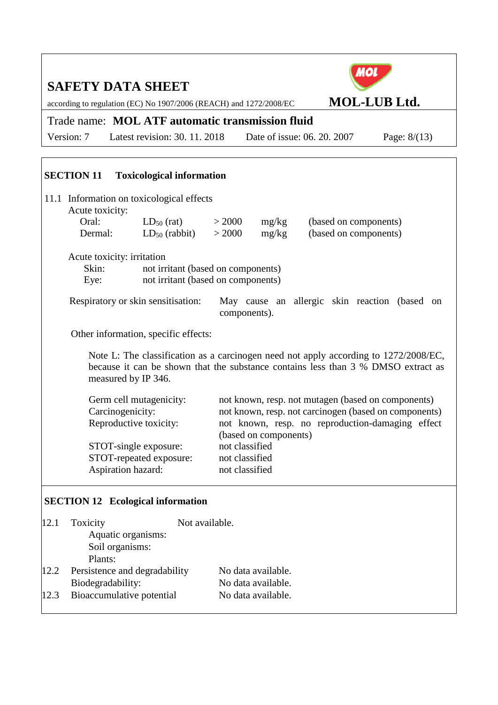# MOL **SAFETY DATA SHEET** according to regulation (EC) No 1907/2006 (REACH) and 1272/2008/EC **MOL-LUB Ltd.** Trade name: **MOL ATF automatic transmission fluid** Version: 7 Latest revision: 30. 11. 2018 Date of issue: 06. 20. 2007 Page: 8/(13) **SECTION 11 Toxicological information** 11.1 Information on toxicological effects Acute toxicity: Oral:  $LD_{50} (rat)$  > 2000 mg/kg (based on components) Dermal:  $LD_{50}$  (rabbit)  $> 2000$  mg/kg (based on components) Acute toxicity: irritation Skin: not irritant (based on components) Eye: not irritant (based on components) Respiratory or skin sensitisation: May cause an allergic skin reaction (based on components). Other information, specific effects: Note L: The classification as a carcinogen need not apply according to 1272/2008/EC, because it can be shown that the substance contains less than 3 % DMSO extract as measured by IP 346. Germ cell mutagenicity: not known, resp. not mutagen (based on components) Carcinogenicity: not known, resp. not carcinogen (based on components) Reproductive toxicity: not known, resp. no reproduction-damaging effect (based on components) STOT-single exposure: not classified STOT-repeated exposure: not classified Aspiration hazard: not classified **SECTION 12 Ecological information**

| 12.1 | Toxicity                      | Not available.     |  |  |
|------|-------------------------------|--------------------|--|--|
|      | Aquatic organisms:            |                    |  |  |
|      | Soil organisms:               |                    |  |  |
|      | Plants:                       |                    |  |  |
| 12.2 | Persistence and degradability | No data available. |  |  |
|      | Biodegradability:             | No data available. |  |  |
| 12.3 | Bioaccumulative potential     | No data available. |  |  |
|      |                               |                    |  |  |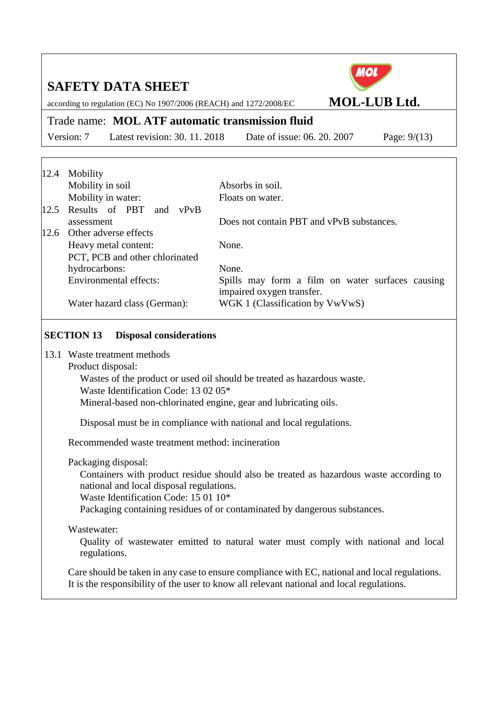according to regulation (EC) No 1907/2006 (REACH) and 1272/2008/EC **MOL-LUB Ltd.**

#### Trade name: **MOL ATF automatic transmission fluid**

Version: 7 Latest revision: 30. 11. 2018 Date of issue: 06. 20. 2007 Page: 9/(13)

| 12.4 | Mobility                        |                                                  |
|------|---------------------------------|--------------------------------------------------|
|      | Mobility in soil                | Absorbs in soil.                                 |
|      | Mobility in water:              | Floats on water.                                 |
|      | 12.5 Results of PBT and<br>vPvB |                                                  |
|      | assessment                      | Does not contain PBT and vPvB substances.        |
|      | 12.6 Other adverse effects      |                                                  |
|      | Heavy metal content:            | None.                                            |
|      | PCT, PCB and other chlorinated  |                                                  |
|      | hydrocarbons:                   | None.                                            |
|      | <b>Environmental effects:</b>   | Spills may form a film on water surfaces causing |
|      |                                 | impaired oxygen transfer.                        |
|      | Water hazard class (German):    | WGK 1 (Classification by VwVwS)                  |

#### **SECTION 13 Disposal considerations**

- 13.1 Waste treatment methods
	- Product disposal:

Wastes of the product or used oil should be treated as hazardous waste. Waste Identification Code: 13 02 05\* Mineral-based non-chlorinated engine, gear and lubricating oils.

Disposal must be in compliance with national and local regulations.

Recommended waste treatment method: incineration

Packaging disposal:

Containers with product residue should also be treated as hazardous waste according to national and local disposal regulations.

Waste Identification Code: 15 01 10\*

Packaging containing residues of or contaminated by dangerous substances.

#### Wastewater:

Quality of wastewater emitted to natural water must comply with national and local regulations.

Care should be taken in any case to ensure compliance with EC, national and local regulations. It is the responsibility of the user to know all relevant national and local regulations.

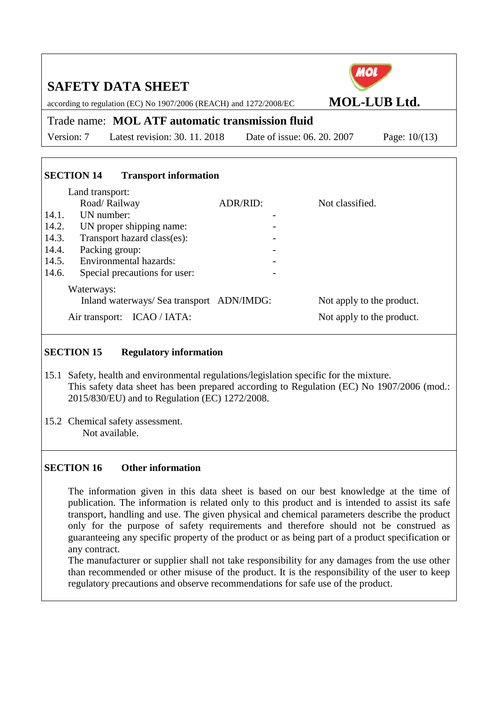| МО<br><b>SAFETY DATA SHEET</b><br><b>MOL-LUB Ltd.</b>                                  |                             |                                                        |                 |  |  |  |
|----------------------------------------------------------------------------------------|-----------------------------|--------------------------------------------------------|-----------------|--|--|--|
| according to regulation (EC) No 1907/2006 (REACH) and 1272/2008/EC                     |                             |                                                        |                 |  |  |  |
| Trade name: MOL ATF automatic transmission fluid                                       |                             |                                                        |                 |  |  |  |
| Latest revision: 30, 11, 2018<br>Version: 7                                            | Date of issue: 06, 20, 2007 |                                                        | Page: $10/(13)$ |  |  |  |
|                                                                                        |                             |                                                        |                 |  |  |  |
| <b>SECTION 14</b><br><b>Transport information</b><br>Land transport:                   |                             |                                                        |                 |  |  |  |
| Road/Railway                                                                           | ADR/RID:                    | Not classified.                                        |                 |  |  |  |
| UN number:<br>14.1.                                                                    |                             |                                                        |                 |  |  |  |
| 14.2.<br>UN proper shipping name:                                                      |                             |                                                        |                 |  |  |  |
| 14.3.<br>Transport hazard class(es):                                                   |                             |                                                        |                 |  |  |  |
| 14.4.<br>Packing group:                                                                |                             |                                                        |                 |  |  |  |
| Environmental hazards:<br>14.5.                                                        |                             |                                                        |                 |  |  |  |
| 14.6.<br>Special precautions for user:                                                 |                             |                                                        |                 |  |  |  |
| Waterways:<br>Inland waterways/ Sea transport ADN/IMDG:<br>Air transport: ICAO / IATA: |                             | Not apply to the product.<br>Not apply to the product. |                 |  |  |  |
|                                                                                        |                             |                                                        |                 |  |  |  |

#### **SECTION 15 Regulatory information**

- 15.1 Safety, health and environmental regulations/legislation specific for the mixture. This safety data sheet has been prepared according to Regulation (EC) No 1907/2006 (mod.: 2015/830/EU) and to Regulation (EC) 1272/2008.
- 15.2 Chemical safety assessment. Not available.

#### **SECTION 16 Other information**

The information given in this data sheet is based on our best knowledge at the time of publication. The information is related only to this product and is intended to assist its safe transport, handling and use. The given physical and chemical parameters describe the product only for the purpose of safety requirements and therefore should not be construed as guaranteeing any specific property of the product or as being part of a product specification or any contract.

The manufacturer or supplier shall not take responsibility for any damages from the use other than recommended or other misuse of the product. It is the responsibility of the user to keep regulatory precautions and observe recommendations for safe use of the product.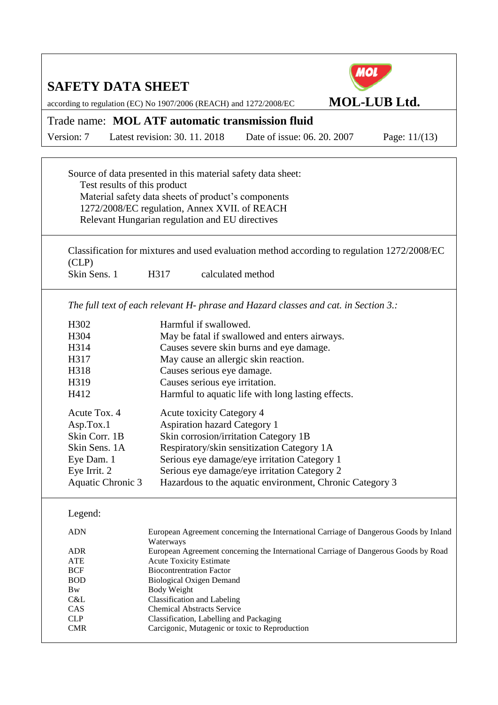| <b>SAFETY DATA SHEET</b>                         | according to regulation (EC) No 1907/2006 (REACH) and 1272/2008/EC                                                                                                                                                      |                                                                                             | <b>MOL-LUB Ltd.</b> |  |  |  |
|--------------------------------------------------|-------------------------------------------------------------------------------------------------------------------------------------------------------------------------------------------------------------------------|---------------------------------------------------------------------------------------------|---------------------|--|--|--|
| Trade name: MOL ATF automatic transmission fluid |                                                                                                                                                                                                                         |                                                                                             |                     |  |  |  |
| Version: 7                                       | Latest revision: 30, 11, 2018                                                                                                                                                                                           | Date of issue: 06. 20. 2007                                                                 | Page: $11/(13)$     |  |  |  |
|                                                  |                                                                                                                                                                                                                         |                                                                                             |                     |  |  |  |
| Test results of this product                     | Source of data presented in this material safety data sheet:<br>Material safety data sheets of product's components<br>1272/2008/EC regulation, Annex XVII. of REACH<br>Relevant Hungarian regulation and EU directives |                                                                                             |                     |  |  |  |
| CLP)                                             |                                                                                                                                                                                                                         | Classification for mixtures and used evaluation method according to regulation 1272/2008/EC |                     |  |  |  |
| Skin Sens. 1                                     | H317                                                                                                                                                                                                                    | calculated method                                                                           |                     |  |  |  |
|                                                  |                                                                                                                                                                                                                         | The full text of each relevant H- phrase and Hazard classes and cat. in Section 3.:         |                     |  |  |  |
| H302                                             | Harmful if swallowed.                                                                                                                                                                                                   |                                                                                             |                     |  |  |  |
| H304                                             |                                                                                                                                                                                                                         | May be fatal if swallowed and enters airways.                                               |                     |  |  |  |
| H314                                             |                                                                                                                                                                                                                         | Causes severe skin burns and eye damage.                                                    |                     |  |  |  |
| H317                                             | May cause an allergic skin reaction.                                                                                                                                                                                    |                                                                                             |                     |  |  |  |
| H318                                             | Causes serious eye damage.                                                                                                                                                                                              |                                                                                             |                     |  |  |  |
| H319                                             | Causes serious eye irritation.                                                                                                                                                                                          |                                                                                             |                     |  |  |  |
| H412                                             |                                                                                                                                                                                                                         | Harmful to aquatic life with long lasting effects.                                          |                     |  |  |  |
| Acute Tox. 4                                     | <b>Acute toxicity Category 4</b>                                                                                                                                                                                        |                                                                                             |                     |  |  |  |
| Asp.Tox.1                                        | <b>Aspiration hazard Category 1</b>                                                                                                                                                                                     |                                                                                             |                     |  |  |  |
| Skin Corr. 1B                                    | Skin corrosion/irritation Category 1B                                                                                                                                                                                   |                                                                                             |                     |  |  |  |
| Skin Sens. 1A                                    |                                                                                                                                                                                                                         | Respiratory/skin sensitization Category 1A                                                  |                     |  |  |  |
| Eye Dam. 1                                       |                                                                                                                                                                                                                         | Serious eye damage/eye irritation Category 1                                                |                     |  |  |  |
| Eye Irrit. 2                                     |                                                                                                                                                                                                                         | Serious eye damage/eye irritation Category 2                                                |                     |  |  |  |
| <b>Aquatic Chronic 3</b>                         |                                                                                                                                                                                                                         | Hazardous to the aquatic environment, Chronic Category 3                                    |                     |  |  |  |
| Legend:                                          |                                                                                                                                                                                                                         |                                                                                             |                     |  |  |  |
| <b>ADN</b>                                       |                                                                                                                                                                                                                         | European Agreement concerning the International Carriage of Dangerous Goods by Inland       |                     |  |  |  |
| <b>ADR</b>                                       |                                                                                                                                                                                                                         | European Agreement concerning the International Carriage of Dangerous Goods by Road         |                     |  |  |  |
| <b>ATE</b>                                       | <b>Acute Toxicity Estimate</b>                                                                                                                                                                                          |                                                                                             |                     |  |  |  |
|                                                  |                                                                                                                                                                                                                         |                                                                                             |                     |  |  |  |
|                                                  |                                                                                                                                                                                                                         |                                                                                             |                     |  |  |  |
|                                                  |                                                                                                                                                                                                                         |                                                                                             |                     |  |  |  |
| CAS                                              | <b>Chemical Abstracts Service</b>                                                                                                                                                                                       |                                                                                             |                     |  |  |  |
| <b>CLP</b>                                       | Classification, Labelling and Packaging                                                                                                                                                                                 |                                                                                             |                     |  |  |  |
| <b>CMR</b>                                       | Carcigonic, Mutagenic or toxic to Reproduction                                                                                                                                                                          |                                                                                             |                     |  |  |  |
| <b>BCF</b><br><b>BOD</b><br>Bw<br>C&L            | Waterways<br><b>Biocontrentration Factor</b><br><b>Biological Oxigen Demand</b><br><b>Body Weight</b><br>Classification and Labeling                                                                                    |                                                                                             |                     |  |  |  |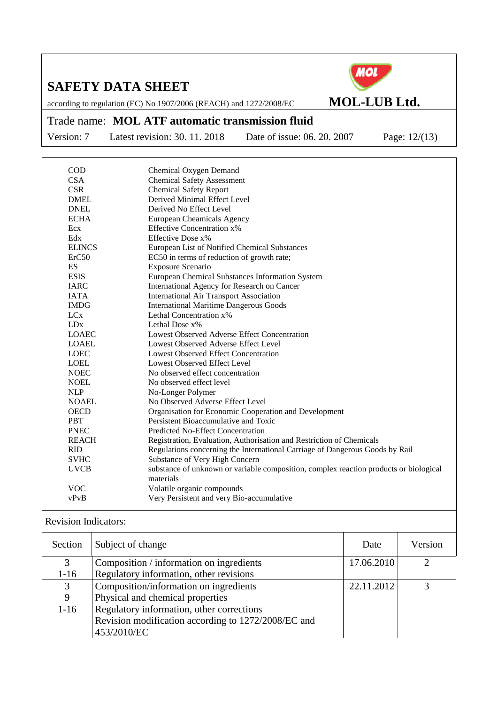

according to regulation (EC) No 1907/2006 (REACH) and 1272/2008/EC **MOL-LUB Ltd.**

#### Trade name: **MOL ATF automatic transmission fluid**

Version: 7 Latest revision: 30. 11. 2018 Date of issue: 06. 20. 2007 Page: 12/(13)

| <b>COD</b>            | Chemical Oxygen Demand                         |                                                                                       |
|-----------------------|------------------------------------------------|---------------------------------------------------------------------------------------|
| <b>CSA</b>            | <b>Chemical Safety Assessment</b>              |                                                                                       |
| <b>CSR</b>            | <b>Chemical Safety Report</b>                  |                                                                                       |
| <b>DMEL</b>           | Derived Minimal Effect Level                   |                                                                                       |
| <b>DNEL</b>           | Derived No Effect Level                        |                                                                                       |
| <b>ECHA</b>           | European Cheamicals Agency                     |                                                                                       |
| Ecx                   | <b>Effective Concentration x%</b>              |                                                                                       |
| Edx                   | Effective Dose x%                              |                                                                                       |
| <b>ELINCS</b>         |                                                | European List of Notified Chemical Substances                                         |
| ErC50                 |                                                | EC50 in terms of reduction of growth rate;                                            |
| ES                    | Exposure Scenario                              |                                                                                       |
| <b>ESIS</b>           |                                                | European Chemical Substances Information System                                       |
| <b>IARC</b>           |                                                | International Agency for Research on Cancer                                           |
| <b>IATA</b>           | <b>International Air Transport Association</b> |                                                                                       |
| <b>IMDG</b>           | <b>International Maritime Dangerous Goods</b>  |                                                                                       |
| <b>LC<sub>x</sub></b> | Lethal Concentration x%                        |                                                                                       |
| LDx                   | Lethal Dose $x\%$                              |                                                                                       |
| <b>LOAEC</b>          |                                                | Lowest Observed Adverse Effect Concentration                                          |
| <b>LOAEL</b>          | Lowest Observed Adverse Effect Level           |                                                                                       |
| <b>LOEC</b>           | <b>Lowest Observed Effect Concentration</b>    |                                                                                       |
| <b>LOEL</b>           | Lowest Observed Effect Level                   |                                                                                       |
| <b>NOEC</b>           | No observed effect concentration               |                                                                                       |
| <b>NOEL</b>           | No observed effect level                       |                                                                                       |
| <b>NLP</b>            | No-Longer Polymer                              |                                                                                       |
| <b>NOAEL</b>          | No Observed Adverse Effect Level               |                                                                                       |
| <b>OECD</b>           |                                                | Organisation for Economic Cooperation and Development                                 |
| <b>PBT</b>            | Persistent Bioaccumulative and Toxic           |                                                                                       |
| <b>PNEC</b>           | Predicted No-Effect Concentration              |                                                                                       |
| <b>REACH</b>          |                                                | Registration, Evaluation, Authorisation and Restriction of Chemicals                  |
| <b>RID</b>            |                                                | Regulations concerning the International Carriage of Dangerous Goods by Rail          |
| <b>SVHC</b>           | Substance of Very High Concern                 |                                                                                       |
| <b>UVCB</b>           |                                                | substance of unknown or variable composition, complex reaction products or biological |
|                       | materials                                      |                                                                                       |
| <b>VOC</b>            | Volatile organic compounds                     |                                                                                       |
| vPvB                  |                                                | Very Persistent and very Bio-accumulative                                             |
|                       |                                                |                                                                                       |

#### Revision Indicators:

| Section  | Subject of change                                   | Date       | Version |
|----------|-----------------------------------------------------|------------|---------|
| 3        | Composition / information on ingredients            | 17.06.2010 | ∍       |
| $1-16$   | Regulatory information, other revisions             |            |         |
| 3        | Composition/information on ingredients              | 22.11.2012 |         |
| 9        | Physical and chemical properties                    |            |         |
| $1 - 16$ | Regulatory information, other corrections           |            |         |
|          | Revision modification according to 1272/2008/EC and |            |         |
|          | 453/2010/EC                                         |            |         |